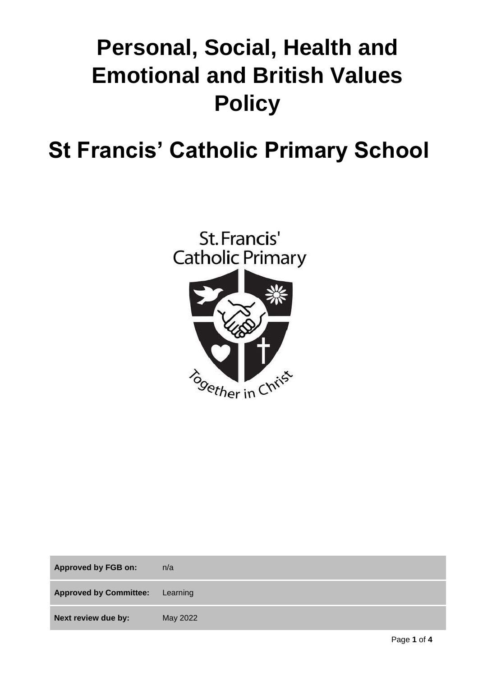# **Personal, Social, Health and Emotional and British Values Policy**

# **St Francis' Catholic Primary School**



| <b>Approved by FGB on:</b>    | n/a      |
|-------------------------------|----------|
| <b>Approved by Committee:</b> | Learning |
| Next review due by:           | May 2022 |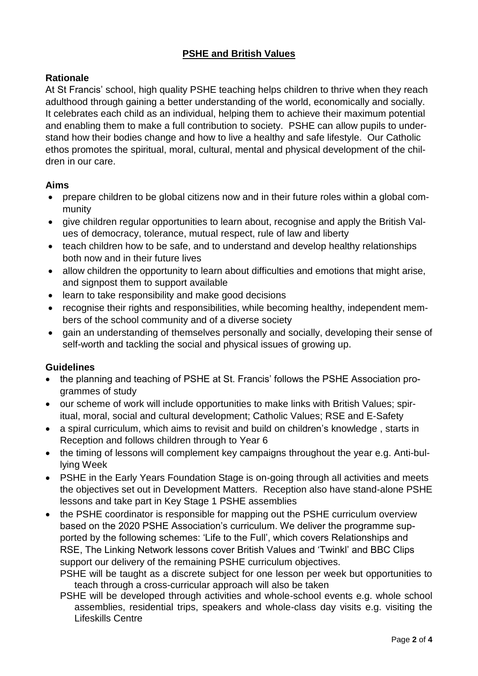# **PSHE and British Values**

## **Rationale**

At St Francis' school, high quality PSHE teaching helps children to thrive when they reach adulthood through gaining a better understanding of the world, economically and socially. It celebrates each child as an individual, helping them to achieve their maximum potential and enabling them to make a full contribution to society. PSHE can allow pupils to understand how their bodies change and how to live a healthy and safe lifestyle. Our Catholic ethos promotes the spiritual, moral, cultural, mental and physical development of the children in our care.

#### **Aims**

- prepare children to be global citizens now and in their future roles within a global community
- give children regular opportunities to learn about, recognise and apply the British Values of democracy, tolerance, mutual respect, rule of law and liberty
- teach children how to be safe, and to understand and develop healthy relationships both now and in their future lives
- allow children the opportunity to learn about difficulties and emotions that might arise, and signpost them to support available
- learn to take responsibility and make good decisions
- recognise their rights and responsibilities, while becoming healthy, independent members of the school community and of a diverse society
- gain an understanding of themselves personally and socially, developing their sense of self-worth and tackling the social and physical issues of growing up.

## **Guidelines**

- the planning and teaching of PSHE at St. Francis' follows the PSHE Association programmes of study
- our scheme of work will include opportunities to make links with British Values; spiritual, moral, social and cultural development; Catholic Values; RSE and E-Safety
- a spiral curriculum, which aims to revisit and build on children's knowledge , starts in Reception and follows children through to Year 6
- the timing of lessons will complement key campaigns throughout the year e.g. Anti-bullying Week
- PSHE in the Early Years Foundation Stage is on-going through all activities and meets the objectives set out in Development Matters. Reception also have stand-alone PSHE lessons and take part in Key Stage 1 PSHE assemblies
- the PSHE coordinator is responsible for mapping out the PSHE curriculum overview based on the 2020 PSHE Association's curriculum. We deliver the programme supported by the following schemes: 'Life to the Full', which covers Relationships and RSE, The Linking Network lessons cover British Values and 'Twinkl' and BBC Clips support our delivery of the remaining PSHE curriculum objectives.

PSHE will be taught as a discrete subject for one lesson per week but opportunities to teach through a cross-curricular approach will also be taken

PSHE will be developed through activities and whole-school events e.g. whole school assemblies, residential trips, speakers and whole-class day visits e.g. visiting the Lifeskills Centre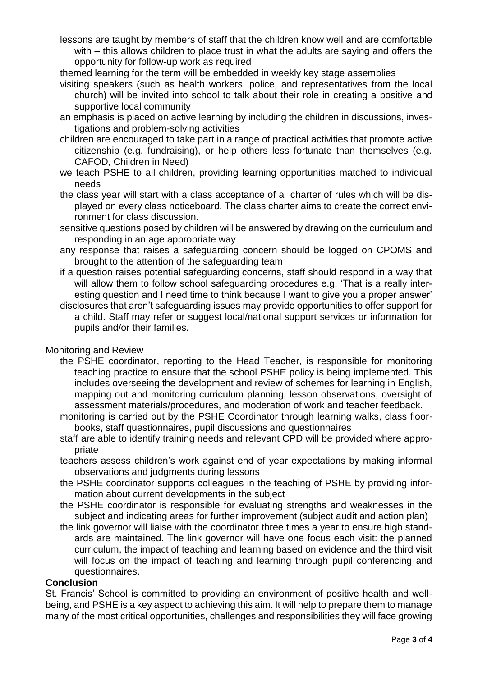lessons are taught by members of staff that the children know well and are comfortable with – this allows children to place trust in what the adults are saying and offers the opportunity for follow-up work as required

themed learning for the term will be embedded in weekly key stage assemblies

- visiting speakers (such as health workers, police, and representatives from the local church) will be invited into school to talk about their role in creating a positive and supportive local community
- an emphasis is placed on active learning by including the children in discussions, investigations and problem-solving activities
- children are encouraged to take part in a range of practical activities that promote active citizenship (e.g. fundraising), or help others less fortunate than themselves (e.g. CAFOD, Children in Need)
- we teach PSHE to all children, providing learning opportunities matched to individual needs
- the class year will start with a class acceptance of a charter of rules which will be displayed on every class noticeboard. The class charter aims to create the correct environment for class discussion.
- sensitive questions posed by children will be answered by drawing on the curriculum and responding in an age appropriate way
- any response that raises a safeguarding concern should be logged on CPOMS and brought to the attention of the safeguarding team
- if a question raises potential safeguarding concerns, staff should respond in a way that will allow them to follow school safeguarding procedures e.g. 'That is a really interesting question and I need time to think because I want to give you a proper answer'
- disclosures that aren't safeguarding issues may provide opportunities to offer support for a child. Staff may refer or suggest local/national support services or information for pupils and/or their families.

#### Monitoring and Review

- the PSHE coordinator, reporting to the Head Teacher, is responsible for monitoring teaching practice to ensure that the school PSHE policy is being implemented. This includes overseeing the development and review of schemes for learning in English, mapping out and monitoring curriculum planning, lesson observations, oversight of assessment materials/procedures, and moderation of work and teacher feedback.
- monitoring is carried out by the PSHE Coordinator through learning walks, class floorbooks, staff questionnaires, pupil discussions and questionnaires
- staff are able to identify training needs and relevant CPD will be provided where appropriate
- teachers assess children's work against end of year expectations by making informal observations and judgments during lessons
- the PSHE coordinator supports colleagues in the teaching of PSHE by providing information about current developments in the subject
- the PSHE coordinator is responsible for evaluating strengths and weaknesses in the subject and indicating areas for further improvement (subject audit and action plan)
- the link governor will liaise with the coordinator three times a year to ensure high standards are maintained. The link governor will have one focus each visit: the planned curriculum, the impact of teaching and learning based on evidence and the third visit will focus on the impact of teaching and learning through pupil conferencing and questionnaires.

#### **Conclusion**

St. Francis' School is committed to providing an environment of positive health and wellbeing, and PSHE is a key aspect to achieving this aim. It will help to prepare them to manage many of the most critical opportunities, challenges and responsibilities they will face growing